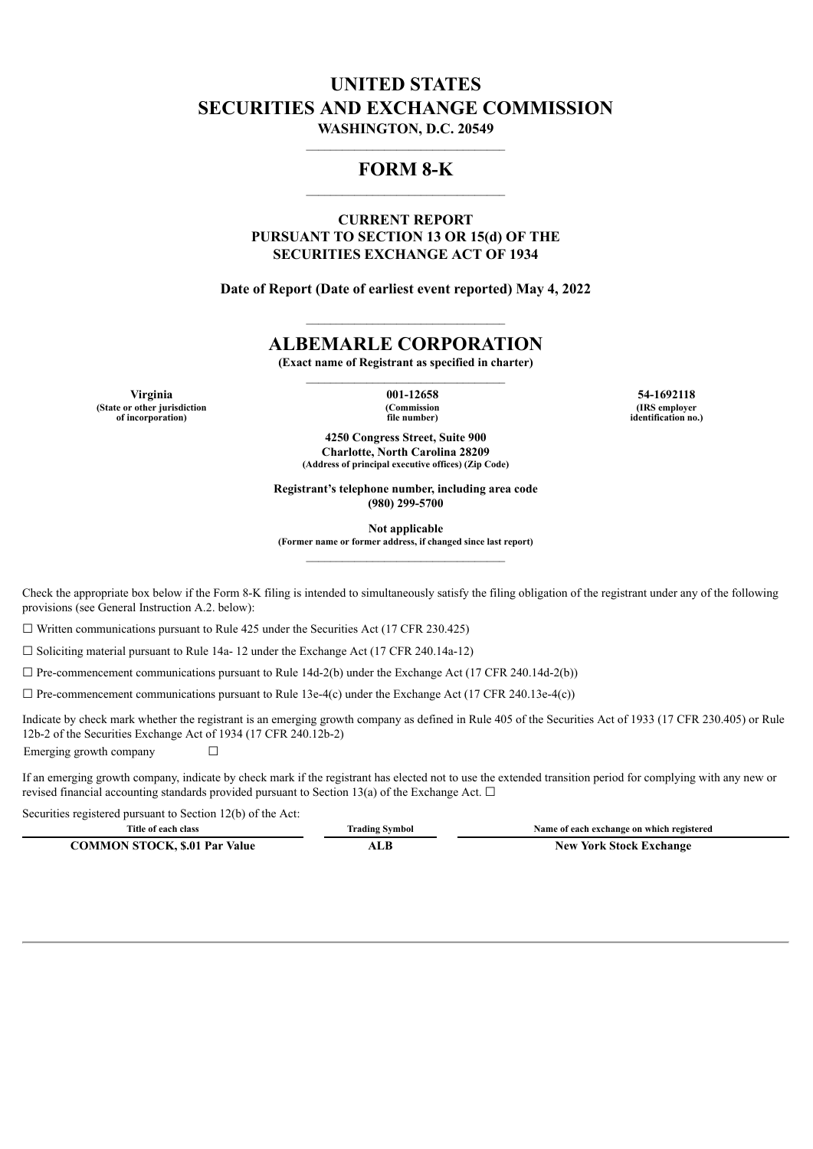# **UNITED STATES SECURITIES AND EXCHANGE COMMISSION WASHINGTON, D.C. 20549**

# **FORM 8-K**

# **CURRENT REPORT PURSUANT TO SECTION 13 OR 15(d) OF THE SECURITIES EXCHANGE ACT OF 1934**

**Date of Report (Date of earliest event reported) May 4, 2022**

# **ALBEMARLE CORPORATION**

**(Exact name of Registrant as specified in charter)**

**Virginia 001-12658 54-1692118 (State or other jurisdiction of incorporation)**

**(Commission file number)**

**(IRS employer identification no.)**

**4250 Congress Street, Suite 900 Charlotte, North Carolina 28209 (Address of principal executive offices) (Zip Code)**

**Registrant's telephone number, including area code (980) 299-5700**

**Not applicable**

**(Former name or former address, if changed since last report)**

Check the appropriate box below if the Form 8-K filing is intended to simultaneously satisfy the filing obligation of the registrant under any of the following provisions (see General Instruction A.2. below):

 $\Box$  Written communications pursuant to Rule 425 under the Securities Act (17 CFR 230.425)

 $\Box$  Soliciting material pursuant to Rule 14a- 12 under the Exchange Act (17 CFR 240.14a-12)

 $\Box$  Pre-commencement communications pursuant to Rule 14d-2(b) under the Exchange Act (17 CFR 240.14d-2(b))

 $\Box$  Pre-commencement communications pursuant to Rule 13e-4(c) under the Exchange Act (17 CFR 240.13e-4(c))

Indicate by check mark whether the registrant is an emerging growth company as defined in Rule 405 of the Securities Act of 1933 (17 CFR 230.405) or Rule 12b-2 of the Securities Exchange Act of 1934 (17 CFR 240.12b-2) Emerging growth company  $\Box$ 

If an emerging growth company, indicate by check mark if the registrant has elected not to use the extended transition period for complying with any new or revised financial accounting standards provided pursuant to Section 13(a) of the Exchange Act.  $\Box$ 

Securities registered pursuant to Section 12(b) of the Act:

| Title of each class                  | trading Symbol | Name of each exchange on which registered |
|--------------------------------------|----------------|-------------------------------------------|
| <b>COMMON STOCK, \$.01 Par Value</b> | 1 L I          | <b>New York Stock Exchange</b>            |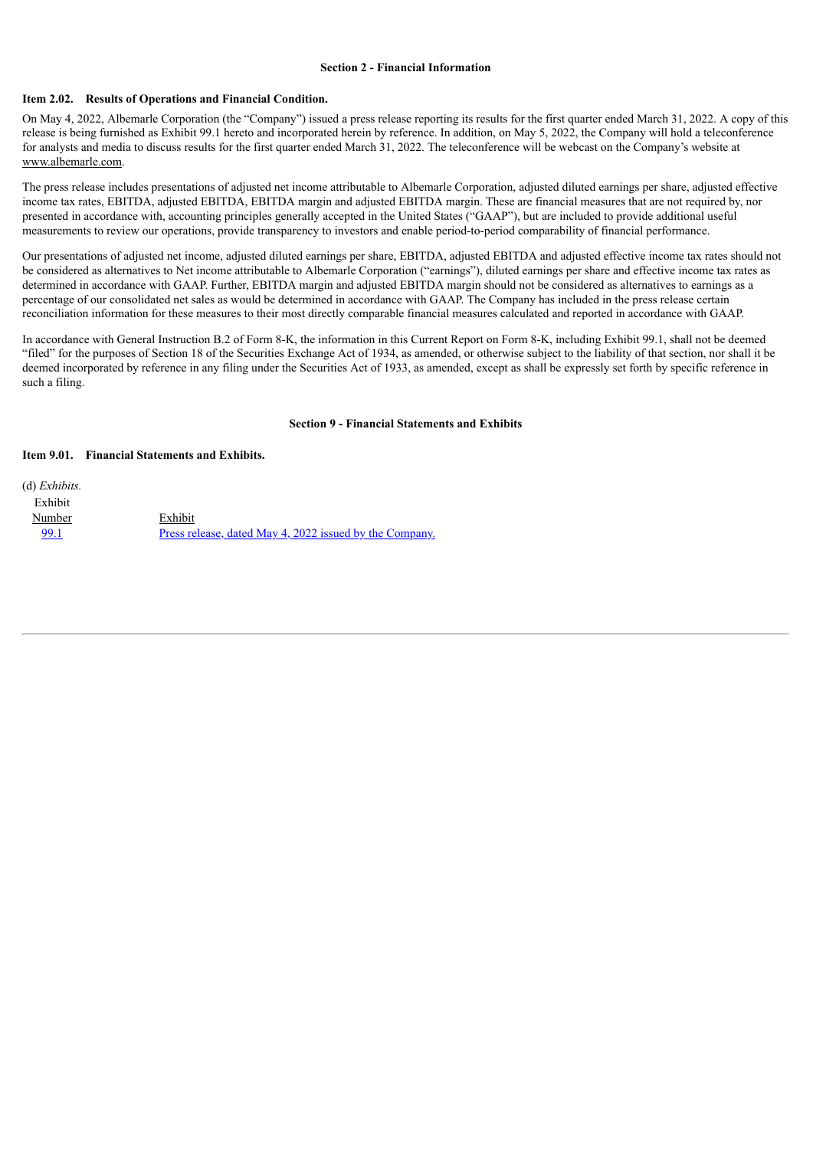#### **Section 2 - Financial Information**

#### **Item 2.02. Results of Operations and Financial Condition.**

On May 4, 2022, Albemarle Corporation (the "Company") issued a press release reporting its results for the first quarter ended March 31, 2022. A copy of this release is being furnished as Exhibit 99.1 hereto and incorporated herein by reference. In addition, on May 5, 2022, the Company will hold a teleconference for analysts and media to discuss results for the first quarter ended March 31, 2022. The teleconference will be webcast on the Company's website at www.albemarle.com.

The press release includes presentations of adjusted net income attributable to Albemarle Corporation, adjusted diluted earnings per share, adjusted effective income tax rates, EBITDA, adjusted EBITDA, EBITDA margin and adjusted EBITDA margin. These are financial measures that are not required by, nor presented in accordance with, accounting principles generally accepted in the United States ("GAAP"), but are included to provide additional useful measurements to review our operations, provide transparency to investors and enable period-to-period comparability of financial performance.

Our presentations of adjusted net income, adjusted diluted earnings per share, EBITDA, adjusted EBITDA and adjusted effective income tax rates should not be considered as alternatives to Net income attributable to Albemarle Corporation ("earnings"), diluted earnings per share and effective income tax rates as determined in accordance with GAAP. Further, EBITDA margin and adjusted EBITDA margin should not be considered as alternatives to earnings as a percentage of our consolidated net sales as would be determined in accordance with GAAP. The Company has included in the press release certain reconciliation information for these measures to their most directly comparable financial measures calculated and reported in accordance with GAAP.

In accordance with General Instruction B.2 of Form 8-K, the information in this Current Report on Form 8-K, including Exhibit 99.1, shall not be deemed "filed" for the purposes of Section 18 of the Securities Exchange Act of 1934, as amended, or otherwise subject to the liability of that section, nor shall it be deemed incorporated by reference in any filing under the Securities Act of 1933, as amended, except as shall be expressly set forth by specific reference in such a filing.

#### **Section 9 - Financial Statements and Exhibits**

#### **Item 9.01. Financial Statements and Exhibits.**

(d) *Exhibits.* Exhibit Number Exhibit [99.1](#page-3-0) Press release, dated May 4, 2022 issued by the [Company.](#page-3-0)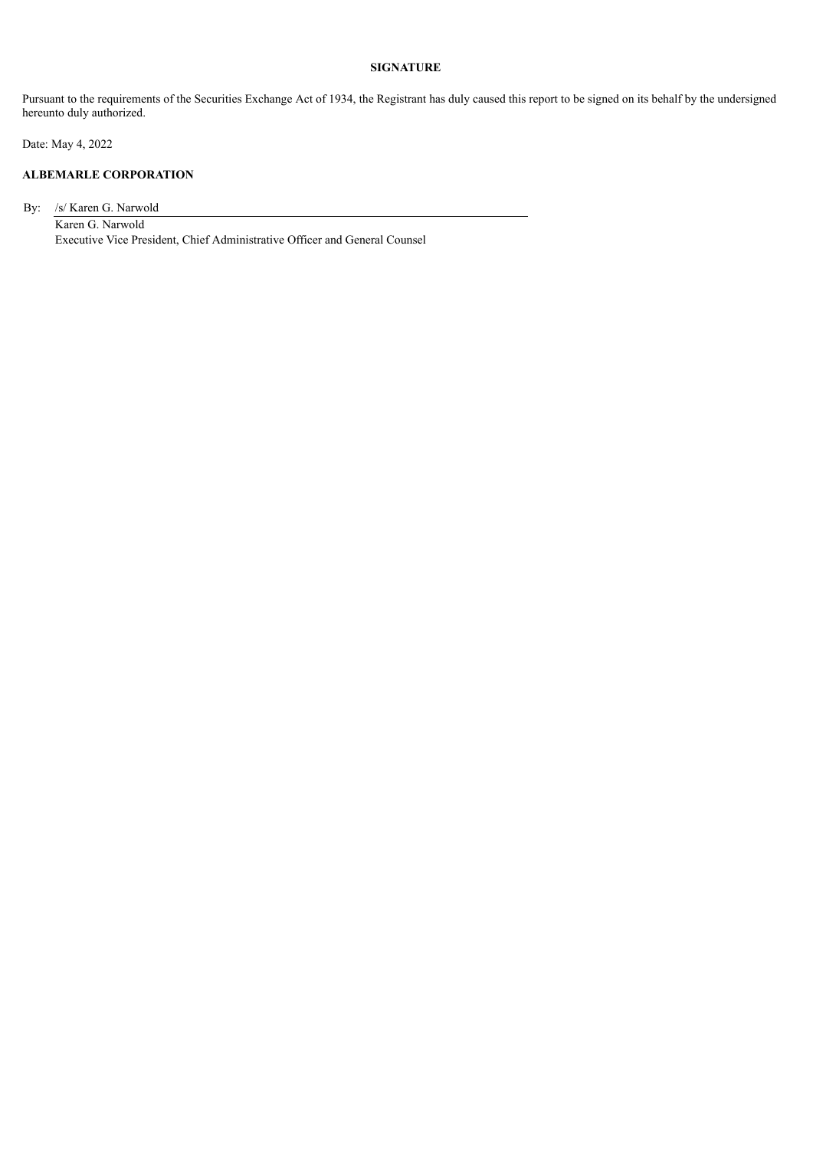# **SIGNATURE**

Pursuant to the requirements of the Securities Exchange Act of 1934, the Registrant has duly caused this report to be signed on its behalf by the undersigned hereunto duly authorized.

Date: May 4, 2022

## **ALBEMARLE CORPORATION**

By: /s/ Karen G. Narwold

Karen G. Narwold Executive Vice President, Chief Administrative Officer and General Counsel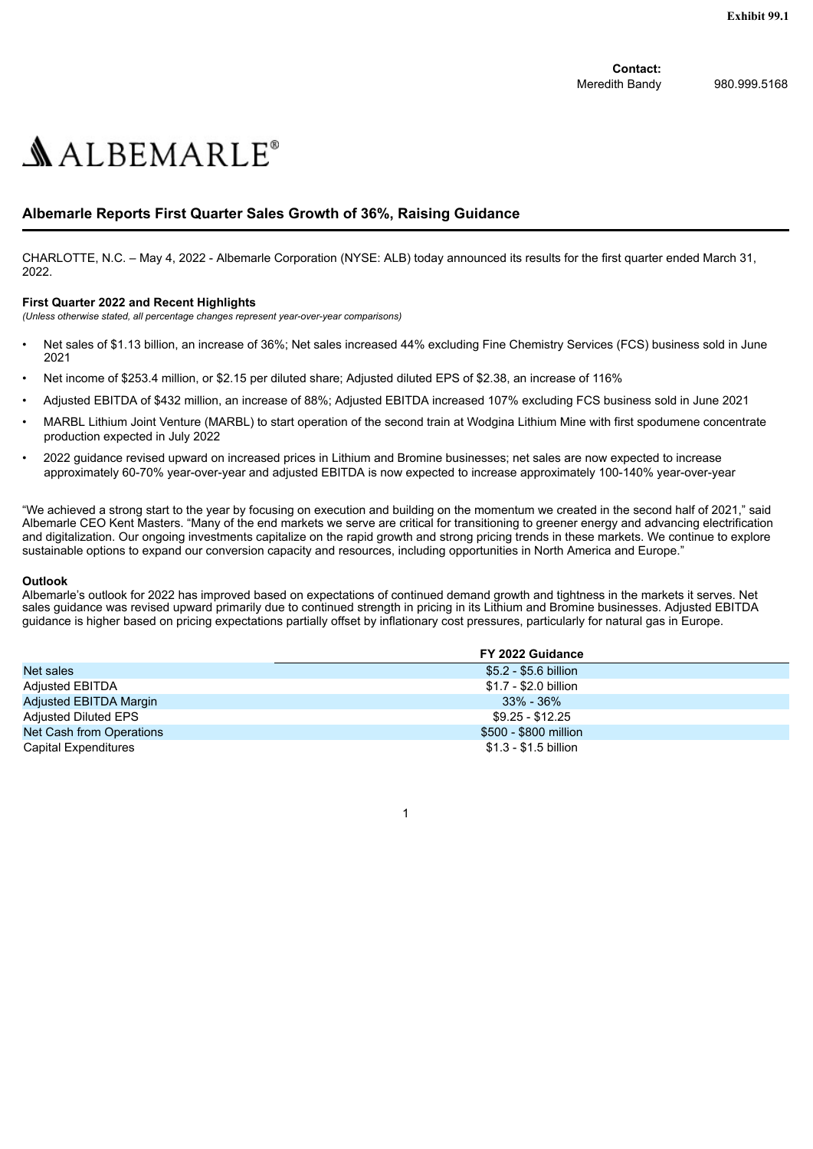**Contact:** Meredith Bandy 980.999.5168

# <span id="page-3-0"></span> $ALBEMARLE<sup>°</sup>$

# **Albemarle Reports First Quarter Sales Growth of 36%, Raising Guidance**

CHARLOTTE, N.C. – May 4, 2022 - Albemarle Corporation (NYSE: ALB) today announced its results for the first quarter ended March 31, 2022.

## **First Quarter 2022 and Recent Highlights**

*(Unless otherwise stated, all percentage changes represent year-over-year comparisons)*

- Net sales of \$1.13 billion, an increase of 36%; Net sales increased 44% excluding Fine Chemistry Services (FCS) business sold in June 2021
- Net income of \$253.4 million, or \$2.15 per diluted share; Adjusted diluted EPS of \$2.38, an increase of 116%
- Adjusted EBITDA of \$432 million, an increase of 88%; Adjusted EBITDA increased 107% excluding FCS business sold in June 2021
- MARBL Lithium Joint Venture (MARBL) to start operation of the second train at Wodgina Lithium Mine with first spodumene concentrate production expected in July 2022
- 2022 guidance revised upward on increased prices in Lithium and Bromine businesses; net sales are now expected to increase approximately 60-70% year-over-year and adjusted EBITDA is now expected to increase approximately 100-140% year-over-year

"We achieved a strong start to the year by focusing on execution and building on the momentum we created in the second half of 2021," said Albemarle CEO Kent Masters. "Many of the end markets we serve are critical for transitioning to greener energy and advancing electrification and digitalization. Our ongoing investments capitalize on the rapid growth and strong pricing trends in these markets. We continue to explore sustainable options to expand our conversion capacity and resources, including opportunities in North America and Europe."

#### **Outlook**

Albemarle's outlook for 2022 has improved based on expectations of continued demand growth and tightness in the markets it serves. Net sales guidance was revised upward primarily due to continued strength in pricing in its Lithium and Bromine businesses. Adjusted EBITDA guidance is higher based on pricing expectations partially offset by inflationary cost pressures, particularly for natural gas in Europe.

|                          | FY 2022 Guidance      |
|--------------------------|-----------------------|
| Net sales                | \$5.2 - \$5.6 billion |
| Adjusted EBITDA          | \$1.7 - \$2.0 billion |
| Adjusted EBITDA Margin   | $33\%$ - 36%          |
| Adjusted Diluted EPS     | \$9.25 - \$12.25      |
| Net Cash from Operations | \$500 - \$800 million |
| Capital Expenditures     | \$1.3 - \$1.5 billion |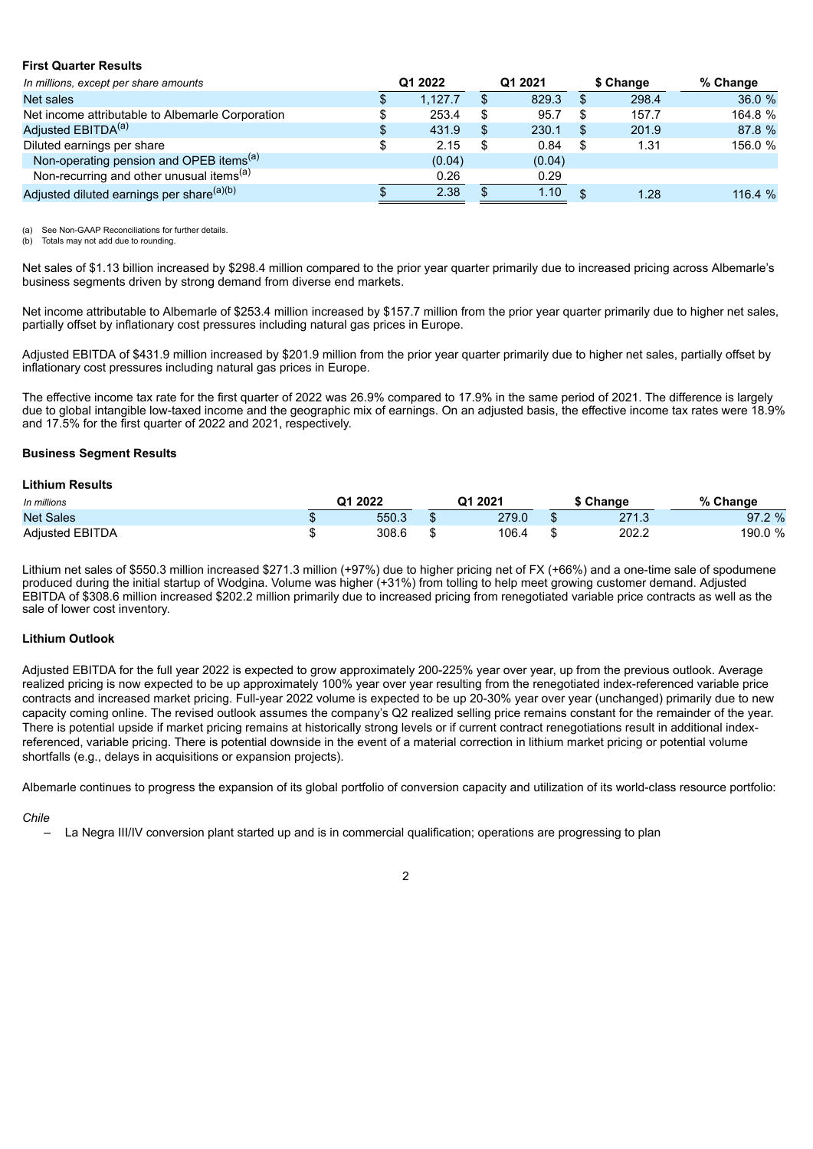#### **First Quarter Results**

| In millions, except per share amounts                 | Q1 2022 |     | Q1 2021 |     | \$ Change | % Change |
|-------------------------------------------------------|---------|-----|---------|-----|-----------|----------|
| Net sales                                             | 1.127.7 |     | 829.3   | \$. | 298.4     | 36.0 %   |
| Net income attributable to Albemarle Corporation      | 253.4   | S   | 95.7    |     | 157.7     | 164.8 %  |
| Adjusted EBITDA <sup>(a)</sup>                        | 431.9   | \$. | 230.1   | S   | 201.9     | 87.8 %   |
| Diluted earnings per share                            | 2.15    |     | 0.84    |     | 1.31      | 156.0 %  |
| Non-operating pension and OPEB items <sup>(a)</sup>   | (0.04)  |     | (0.04)  |     |           |          |
| Non-recurring and other unusual items <sup>(a)</sup>  | 0.26    |     | 0.29    |     |           |          |
| Adjusted diluted earnings per share <sup>(a)(b)</sup> | 2.38    |     | 1.10    | \$. | 1.28      | 116.4 %  |

(a) See Non-GAAP Reconciliations for further details.

Totals may not add due to rounding.

Net sales of \$1.13 billion increased by \$298.4 million compared to the prior year quarter primarily due to increased pricing across Albemarle's business segments driven by strong demand from diverse end markets.

Net income attributable to Albemarle of \$253.4 million increased by \$157.7 million from the prior year quarter primarily due to higher net sales, partially offset by inflationary cost pressures including natural gas prices in Europe.

Adjusted EBITDA of \$431.9 million increased by \$201.9 million from the prior year quarter primarily due to higher net sales, partially offset by inflationary cost pressures including natural gas prices in Europe.

The effective income tax rate for the first quarter of 2022 was 26.9% compared to 17.9% in the same period of 2021. The difference is largely due to global intangible low-taxed income and the geographic mix of earnings. On an adjusted basis, the effective income tax rates were 18.9% and 17.5% for the first quarter of 2022 and 2021, respectively.

#### **Business Segment Results**

#### **Lithium Results**

| In millions            | Q1 2021<br>Q1 2022<br>0/2<br>$\cap$ hange |   |       |     | Change                              |         |
|------------------------|-------------------------------------------|---|-------|-----|-------------------------------------|---------|
| <b>Net Sales</b>       | 550.3                                     |   | 279.0 | -13 | 271.3<br>- 1. 1. 1.<br>$\epsilon$ i | 97.2 %  |
| <b>Adiusted EBITDA</b> | 308.6                                     | w | 106.4 | -13 | 202.2                               | 190.0 % |

Lithium net sales of \$550.3 million increased \$271.3 million (+97%) due to higher pricing net of FX (+66%) and a one-time sale of spodumene produced during the initial startup of Wodgina. Volume was higher (+31%) from tolling to help meet growing customer demand. Adjusted EBITDA of \$308.6 million increased \$202.2 million primarily due to increased pricing from renegotiated variable price contracts as well as the sale of lower cost inventory.

#### **Lithium Outlook**

Adjusted EBITDA for the full year 2022 is expected to grow approximately 200-225% year over year, up from the previous outlook. Average realized pricing is now expected to be up approximately 100% year over year resulting from the renegotiated index-referenced variable price contracts and increased market pricing. Full-year 2022 volume is expected to be up 20-30% year over year (unchanged) primarily due to new capacity coming online. The revised outlook assumes the company's Q2 realized selling price remains constant for the remainder of the year. There is potential upside if market pricing remains at historically strong levels or if current contract renegotiations result in additional indexreferenced, variable pricing. There is potential downside in the event of a material correction in lithium market pricing or potential volume shortfalls (e.g., delays in acquisitions or expansion projects).

Albemarle continues to progress the expansion of its global portfolio of conversion capacity and utilization of its world-class resource portfolio:

### *Chile*

– La Negra III/IV conversion plant started up and is in commercial qualification; operations are progressing to plan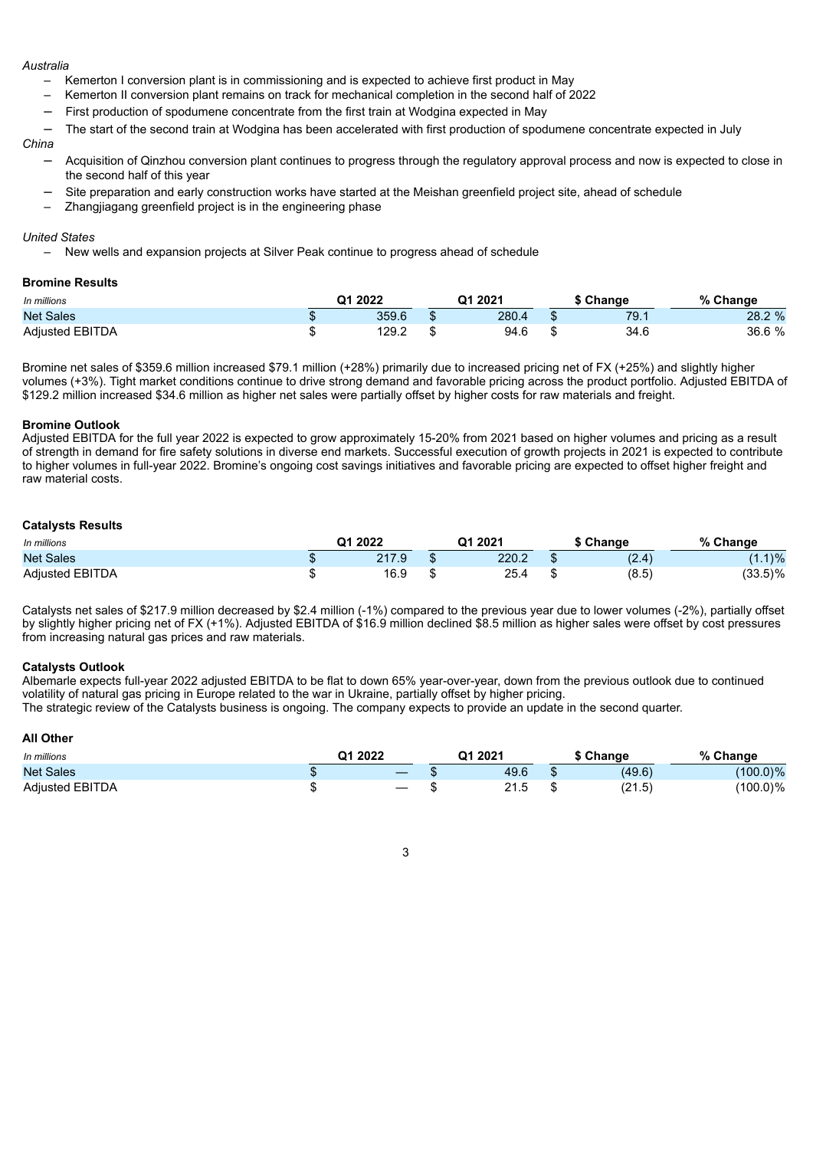#### *Australia*

- Kemerton I conversion plant is in commissioning and is expected to achieve first product in May
- Kemerton II conversion plant remains on track for mechanical completion in the second half of 2022
- First production of spodumene concentrate from the first train at Wodgina expected in May
- The start of the second train at Wodgina has been accelerated with first production of spodumene concentrate expected in July

#### *China*

- Acquisition of Qinzhou conversion plant continues to progress through the regulatory approval process and now is expected to close in the second half of this year
- Site preparation and early construction works have started at the Meishan greenfield project site, ahead of schedule
- Zhangjiagang greenfield project is in the engineering phase

#### *United States*

– New wells and expansion projects at Silver Peak continue to progress ahead of schedule

#### **Bromine Results**

| In millions            | Q1 2022 | 21.2021<br>Change |       |     |      | $\frac{1}{2}$<br>Change |  |  |
|------------------------|---------|-------------------|-------|-----|------|-------------------------|--|--|
| <b>Net Sales</b>       | 359.6   |                   | 280.4 |     | 79.1 | 28.2 %                  |  |  |
| <b>Adjusted EBITDA</b> | 129.2   |                   | 94.6  | ٨IJ | 34.6 | 36.6 %                  |  |  |

Bromine net sales of \$359.6 million increased \$79.1 million (+28%) primarily due to increased pricing net of FX (+25%) and slightly higher volumes (+3%). Tight market conditions continue to drive strong demand and favorable pricing across the product portfolio. Adjusted EBITDA of \$129.2 million increased \$34.6 million as higher net sales were partially offset by higher costs for raw materials and freight.

#### **Bromine Outlook**

Adjusted EBITDA for the full year 2022 is expected to grow approximately 15-20% from 2021 based on higher volumes and pricing as a result of strength in demand for fire safety solutions in diverse end markets. Successful execution of growth projects in 2021 is expected to contribute to higher volumes in full-year 2022. Bromine's ongoing cost savings initiatives and favorable pricing are expected to offset higher freight and raw material costs.

#### **Catalysts Results**

| In millions            | Q1 2022 |       |    | Q1 2021 | ` Change      | % Change   |
|------------------------|---------|-------|----|---------|---------------|------------|
| <b>Net Sales</b>       |         | 217.9 |    | 220.2   | (2.1)<br>14.4 | $1.1$ %    |
| <b>Adjusted EBITDA</b> |         | 16.9  | ۰D | 25.4    | (8.5)         | $(33.5)\%$ |

Catalysts net sales of \$217.9 million decreased by \$2.4 million (-1%) compared to the previous year due to lower volumes (-2%), partially offset by slightly higher pricing net of FX (+1%). Adjusted EBITDA of \$16.9 million declined \$8.5 million as higher sales were offset by cost pressures from increasing natural gas prices and raw materials.

#### **Catalysts Outlook**

Albemarle expects full-year 2022 adjusted EBITDA to be flat to down 65% year-over-year, down from the previous outlook due to continued volatility of natural gas pricing in Europe related to the war in Ukraine, partially offset by higher pricing.

The strategic review of the Catalysts business is ongoing. The company expects to provide an update in the second quarter.

| <b>All Other</b>       |                   |  |         |  |           |             |  |
|------------------------|-------------------|--|---------|--|-----------|-------------|--|
| In millions            | Q1 2022           |  | Q1 2021 |  | \$ Change | % Change    |  |
| <b>Net Sales</b>       | $\sim$            |  | 49.6    |  | (49.6)    | $(100.0)\%$ |  |
| <b>Adjusted EBITDA</b> | $\hspace{0.05cm}$ |  | 21.5    |  | (21.5)    | $(100.0)\%$ |  |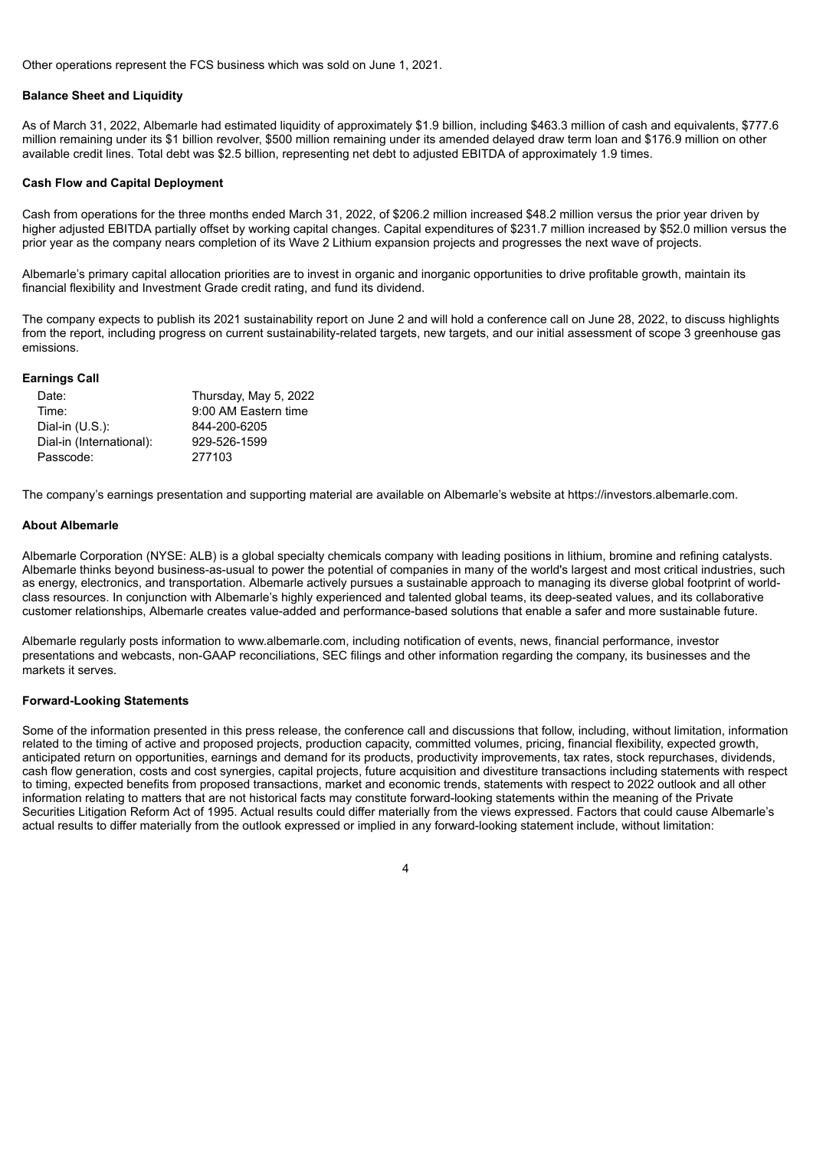Other operations represent the FCS business which was sold on June 1, 2021.

#### **Balance Sheet and Liquidity**

As of March 31, 2022, Albemarle had estimated liquidity of approximately \$1.9 billion, including \$463.3 million of cash and equivalents, \$777.6 million remaining under its \$1 billion revolver, \$500 million remaining under its amended delayed draw term loan and \$176.9 million on other available credit lines. Total debt was \$2.5 billion, representing net debt to adjusted EBITDA of approximately 1.9 times.

#### **Cash Flow and Capital Deployment**

Cash from operations for the three months ended March 31, 2022, of \$206.2 million increased \$48.2 million versus the prior year driven by higher adjusted EBITDA partially offset by working capital changes. Capital expenditures of \$231.7 million increased by \$52.0 million versus the prior year as the company nears completion of its Wave 2 Lithium expansion projects and progresses the next wave of projects.

Albemarle's primary capital allocation priorities are to invest in organic and inorganic opportunities to drive profitable growth, maintain its financial flexibility and Investment Grade credit rating, and fund its dividend.

The company expects to publish its 2021 sustainability report on June 2 and will hold a conference call on June 28, 2022, to discuss highlights from the report, including progress on current sustainability-related targets, new targets, and our initial assessment of scope 3 greenhouse gas emissions.

#### **Earnings Call**

| Date:                    | Thursday, May 5, 2022 |
|--------------------------|-----------------------|
| Time:                    | 9:00 AM Eastern time  |
| Dial-in $(U.S.):$        | 844-200-6205          |
| Dial-in (International): | 929-526-1599          |
| Passcode:                | 277103                |

The company's earnings presentation and supporting material are available on Albemarle's website at https://investors.albemarle.com.

#### **About Albemarle**

Albemarle Corporation (NYSE: ALB) is a global specialty chemicals company with leading positions in lithium, bromine and refining catalysts. Albemarle thinks beyond business-as-usual to power the potential of companies in many of the world's largest and most critical industries, such as energy, electronics, and transportation. Albemarle actively pursues a sustainable approach to managing its diverse global footprint of worldclass resources. In conjunction with Albemarle's highly experienced and talented global teams, its deep-seated values, and its collaborative customer relationships, Albemarle creates value-added and performance-based solutions that enable a safer and more sustainable future.

Albemarle regularly posts information to www.albemarle.com, including notification of events, news, financial performance, investor presentations and webcasts, non-GAAP reconciliations, SEC filings and other information regarding the company, its businesses and the markets it serves.

#### **Forward-Looking Statements**

Some of the information presented in this press release, the conference call and discussions that follow, including, without limitation, information related to the timing of active and proposed projects, production capacity, committed volumes, pricing, financial flexibility, expected growth, anticipated return on opportunities, earnings and demand for its products, productivity improvements, tax rates, stock repurchases, dividends, cash flow generation, costs and cost synergies, capital projects, future acquisition and divestiture transactions including statements with respect to timing, expected benefits from proposed transactions, market and economic trends, statements with respect to 2022 outlook and all other information relating to matters that are not historical facts may constitute forward-looking statements within the meaning of the Private Securities Litigation Reform Act of 1995. Actual results could differ materially from the views expressed. Factors that could cause Albemarle's actual results to differ materially from the outlook expressed or implied in any forward-looking statement include, without limitation: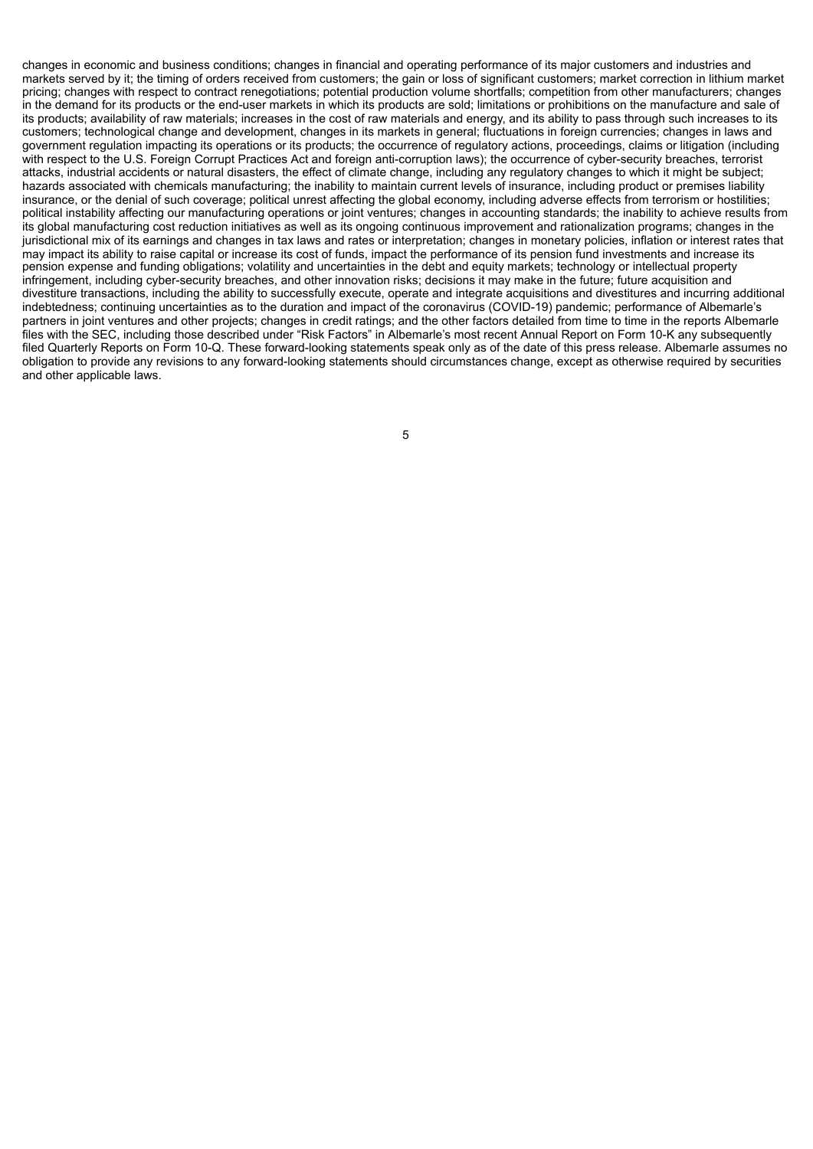changes in economic and business conditions; changes in financial and operating performance of its major customers and industries and markets served by it; the timing of orders received from customers; the gain or loss of significant customers; market correction in lithium market pricing; changes with respect to contract renegotiations; potential production volume shortfalls; competition from other manufacturers; changes in the demand for its products or the end-user markets in which its products are sold; limitations or prohibitions on the manufacture and sale of its products; availability of raw materials; increases in the cost of raw materials and energy, and its ability to pass through such increases to its customers; technological change and development, changes in its markets in general; fluctuations in foreign currencies; changes in laws and government regulation impacting its operations or its products; the occurrence of regulatory actions, proceedings, claims or litigation (including with respect to the U.S. Foreign Corrupt Practices Act and foreign anti-corruption laws); the occurrence of cyber-security breaches, terrorist attacks, industrial accidents or natural disasters, the effect of climate change, including any regulatory changes to which it might be subject; hazards associated with chemicals manufacturing; the inability to maintain current levels of insurance, including product or premises liability insurance, or the denial of such coverage; political unrest affecting the global economy, including adverse effects from terrorism or hostilities; political instability affecting our manufacturing operations or joint ventures; changes in accounting standards; the inability to achieve results from its global manufacturing cost reduction initiatives as well as its ongoing continuous improvement and rationalization programs; changes in the jurisdictional mix of its earnings and changes in tax laws and rates or interpretation; changes in monetary policies, inflation or interest rates that may impact its ability to raise capital or increase its cost of funds, impact the performance of its pension fund investments and increase its pension expense and funding obligations; volatility and uncertainties in the debt and equity markets; technology or intellectual property infringement, including cyber-security breaches, and other innovation risks; decisions it may make in the future; future acquisition and divestiture transactions, including the ability to successfully execute, operate and integrate acquisitions and divestitures and incurring additional indebtedness; continuing uncertainties as to the duration and impact of the coronavirus (COVID-19) pandemic; performance of Albemarle's partners in joint ventures and other projects; changes in credit ratings; and the other factors detailed from time to time in the reports Albemarle files with the SEC, including those described under "Risk Factors" in Albemarle's most recent Annual Report on Form 10-K any subsequently filed Quarterly Reports on Form 10-Q. These forward-looking statements speak only as of the date of this press release. Albemarle assumes no obligation to provide any revisions to any forward-looking statements should circumstances change, except as otherwise required by securities and other applicable laws.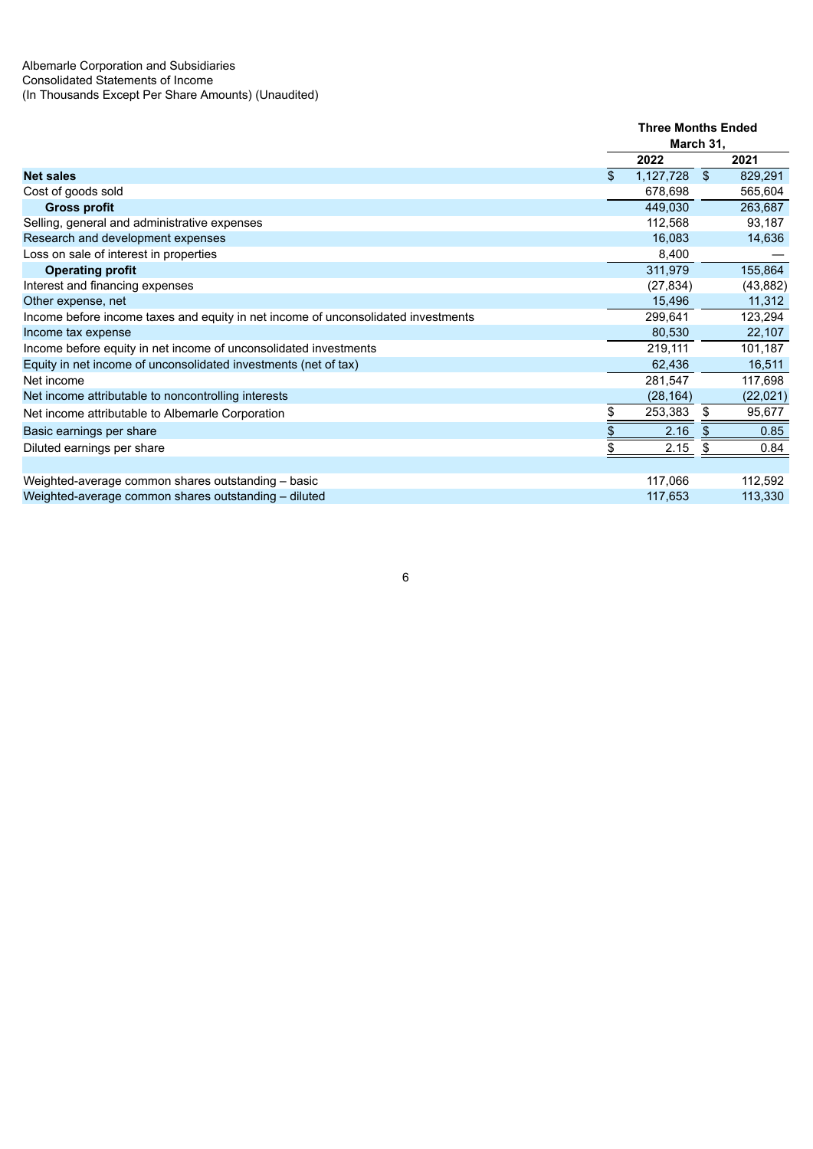|                                                                                   | <b>Three Months Ended</b> |           |              |           |
|-----------------------------------------------------------------------------------|---------------------------|-----------|--------------|-----------|
|                                                                                   |                           | March 31, |              |           |
|                                                                                   |                           | 2022      |              | 2021      |
| <b>Net sales</b>                                                                  | \$.                       | 1,127,728 | $\mathbb{S}$ | 829,291   |
| Cost of goods sold                                                                |                           | 678,698   |              | 565,604   |
| <b>Gross profit</b>                                                               |                           | 449,030   |              | 263,687   |
| Selling, general and administrative expenses                                      |                           | 112,568   |              | 93,187    |
| Research and development expenses                                                 |                           | 16,083    |              | 14,636    |
| Loss on sale of interest in properties                                            |                           | 8,400     |              |           |
| <b>Operating profit</b>                                                           |                           | 311,979   |              | 155,864   |
| Interest and financing expenses                                                   |                           | (27, 834) |              | (43, 882) |
| Other expense, net                                                                |                           | 15,496    |              | 11,312    |
| Income before income taxes and equity in net income of unconsolidated investments |                           | 299,641   |              | 123,294   |
| Income tax expense                                                                |                           | 80,530    |              | 22,107    |
| Income before equity in net income of unconsolidated investments                  |                           | 219,111   |              | 101,187   |
| Equity in net income of unconsolidated investments (net of tax)                   |                           | 62,436    |              | 16,511    |
| Net income                                                                        |                           | 281,547   |              | 117,698   |
| Net income attributable to noncontrolling interests                               |                           | (28, 164) |              | (22,021)  |
| Net income attributable to Albemarle Corporation                                  |                           | 253,383   | - \$         | 95,677    |
| Basic earnings per share                                                          |                           | 2.16      | -5           | 0.85      |
| Diluted earnings per share                                                        |                           | 2.15      |              | 0.84      |
|                                                                                   |                           |           |              |           |
| Weighted-average common shares outstanding - basic                                |                           | 117,066   |              | 112,592   |
| Weighted-average common shares outstanding - diluted                              |                           | 117,653   |              | 113,330   |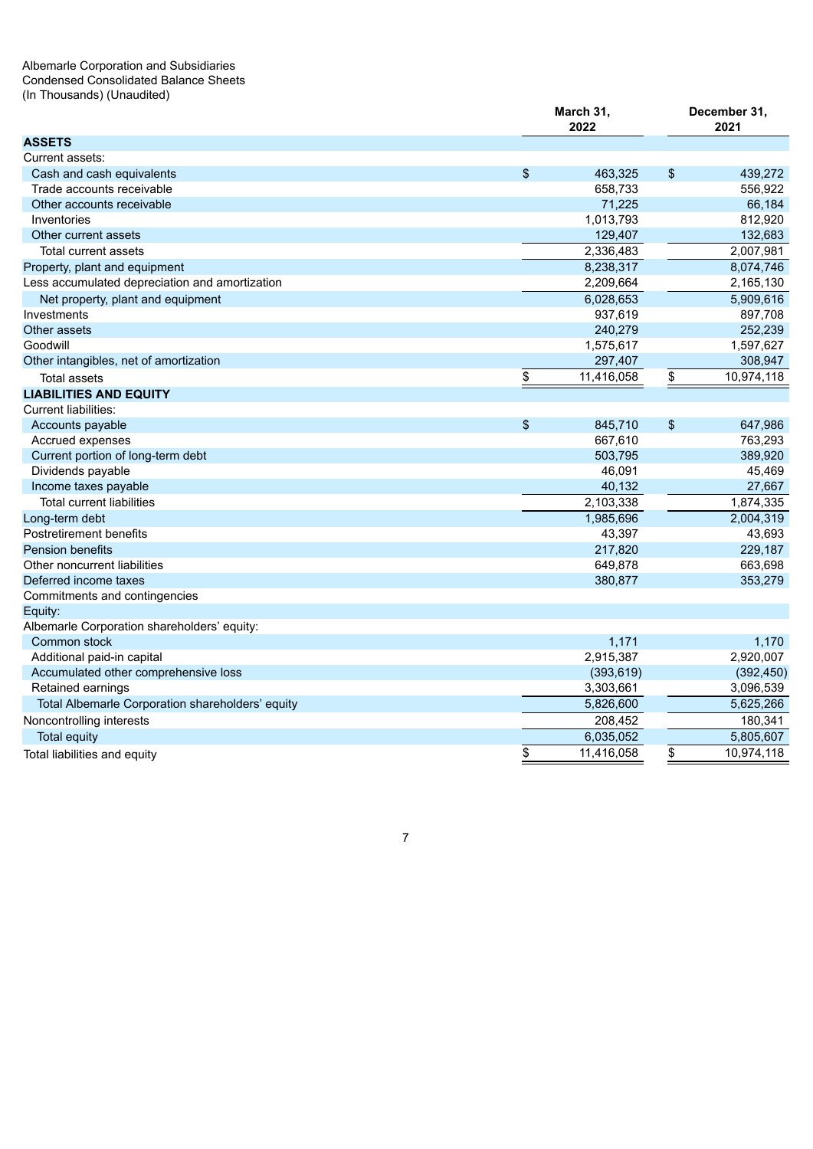#### Albemarle Corporation and Subsidiaries Condensed Consolidated Balance Sheets (In Thousands) (Unaudited)

|                                                  | March 31,<br>2022 |                           | December 31,<br>2021 |
|--------------------------------------------------|-------------------|---------------------------|----------------------|
| <b>ASSETS</b>                                    |                   |                           |                      |
| Current assets:                                  |                   |                           |                      |
| Cash and cash equivalents                        | \$<br>463,325     | $\boldsymbol{\mathsf{s}}$ | 439.272              |
| Trade accounts receivable                        | 658,733           |                           | 556,922              |
| Other accounts receivable                        | 71,225            |                           | 66,184               |
| Inventories                                      | 1,013,793         |                           | 812,920              |
| Other current assets                             | 129,407           |                           | 132,683              |
| Total current assets                             | 2,336,483         |                           | 2,007,981            |
| Property, plant and equipment                    | 8,238,317         |                           | 8,074,746            |
| Less accumulated depreciation and amortization   | 2,209,664         |                           | 2,165,130            |
| Net property, plant and equipment                | 6,028,653         |                           | 5,909,616            |
| Investments                                      | 937,619           |                           | 897,708              |
| Other assets                                     | 240,279           |                           | 252,239              |
| Goodwill                                         | 1,575,617         |                           | 1,597,627            |
| Other intangibles, net of amortization           | 297,407           |                           | 308,947              |
| <b>Total assets</b>                              | \$<br>11,416,058  | \$                        | 10,974,118           |
| <b>LIABILITIES AND EQUITY</b>                    |                   |                           |                      |
| <b>Current liabilities:</b>                      |                   |                           |                      |
| Accounts payable                                 | \$<br>845,710     | $\boldsymbol{\mathsf{S}}$ | 647,986              |
| Accrued expenses                                 | 667,610           |                           | 763,293              |
| Current portion of long-term debt                | 503,795           |                           | 389,920              |
| Dividends payable                                | 46,091            |                           | 45,469               |
| Income taxes payable                             | 40,132            |                           | 27,667               |
| <b>Total current liabilities</b>                 | 2,103,338         |                           | 1,874,335            |
| Long-term debt                                   | 1,985,696         |                           | 2,004,319            |
| Postretirement benefits                          | 43,397            |                           | 43,693               |
| <b>Pension benefits</b>                          | 217,820           |                           | 229,187              |
| Other noncurrent liabilities                     | 649,878           |                           | 663,698              |
| Deferred income taxes                            | 380,877           |                           | 353,279              |
| Commitments and contingencies                    |                   |                           |                      |
| Equity:                                          |                   |                           |                      |
| Albemarle Corporation shareholders' equity:      |                   |                           |                      |
| Common stock                                     | 1,171             |                           | 1,170                |
| Additional paid-in capital                       | 2,915,387         |                           | 2,920,007            |
| Accumulated other comprehensive loss             | (393, 619)        |                           | (392, 450)           |
| Retained earnings                                | 3,303,661         |                           | 3,096,539            |
| Total Albemarle Corporation shareholders' equity | 5,826,600         |                           | 5,625,266            |
| Noncontrolling interests                         | 208,452           |                           | 180,341              |
| <b>Total equity</b>                              | 6,035,052         |                           | 5,805,607            |
| Total liabilities and equity                     | \$<br>11,416,058  | \$                        | 10,974,118           |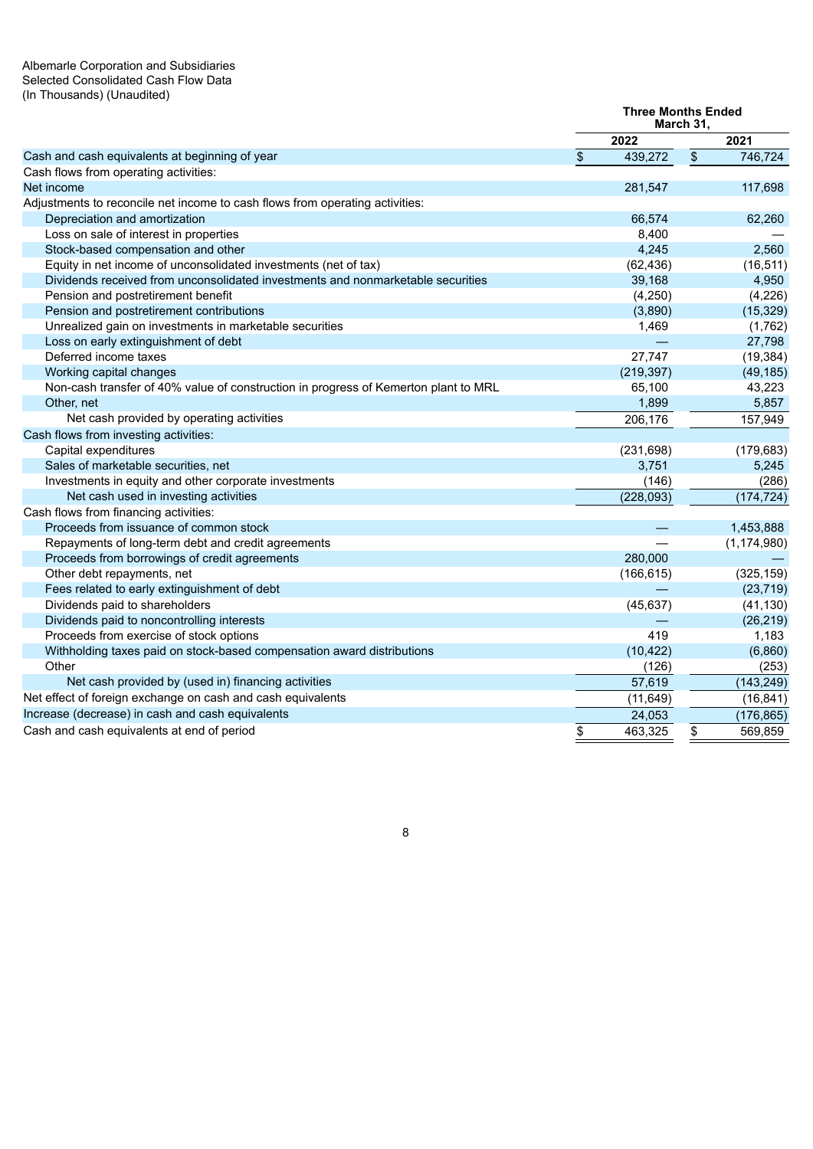#### Albemarle Corporation and Subsidiaries Selected Consolidated Cash Flow Data (In Thousands) (Unaudited)

|                                                                                     | <b>Three Months Ended</b> | March 31, |               |
|-------------------------------------------------------------------------------------|---------------------------|-----------|---------------|
|                                                                                     | 2022                      |           | 2021          |
| Cash and cash equivalents at beginning of year                                      | \$<br>439,272             | \$        | 746,724       |
| Cash flows from operating activities:                                               |                           |           |               |
| Net income                                                                          | 281,547                   |           | 117,698       |
| Adjustments to reconcile net income to cash flows from operating activities:        |                           |           |               |
| Depreciation and amortization                                                       | 66,574                    |           | 62,260        |
| Loss on sale of interest in properties                                              | 8,400                     |           |               |
| Stock-based compensation and other                                                  | 4,245                     |           | 2,560         |
| Equity in net income of unconsolidated investments (net of tax)                     | (62, 436)                 |           | (16, 511)     |
| Dividends received from unconsolidated investments and nonmarketable securities     | 39,168                    |           | 4,950         |
| Pension and postretirement benefit                                                  | (4, 250)                  |           | (4, 226)      |
| Pension and postretirement contributions                                            | (3,890)                   |           | (15, 329)     |
| Unrealized gain on investments in marketable securities                             | 1,469                     |           | (1,762)       |
| Loss on early extinguishment of debt                                                |                           |           | 27,798        |
| Deferred income taxes                                                               | 27,747                    |           | (19, 384)     |
| Working capital changes                                                             | (219, 397)                |           | (49, 185)     |
| Non-cash transfer of 40% value of construction in progress of Kemerton plant to MRL | 65,100                    |           | 43,223        |
| Other, net                                                                          | 1,899                     |           | 5,857         |
| Net cash provided by operating activities                                           | 206,176                   |           | 157,949       |
| Cash flows from investing activities:                                               |                           |           |               |
| Capital expenditures                                                                | (231, 698)                |           | (179, 683)    |
| Sales of marketable securities, net                                                 | 3,751                     |           | 5,245         |
| Investments in equity and other corporate investments                               | (146)                     |           | (286)         |
| Net cash used in investing activities                                               | (228, 093)                |           | (174, 724)    |
| Cash flows from financing activities:                                               |                           |           |               |
| Proceeds from issuance of common stock                                              |                           |           | 1,453,888     |
| Repayments of long-term debt and credit agreements                                  |                           |           | (1, 174, 980) |
| Proceeds from borrowings of credit agreements                                       | 280,000                   |           |               |
| Other debt repayments, net                                                          | (166, 615)                |           | (325, 159)    |
| Fees related to early extinguishment of debt                                        |                           |           | (23, 719)     |
| Dividends paid to shareholders                                                      | (45, 637)                 |           | (41, 130)     |
| Dividends paid to noncontrolling interests                                          |                           |           | (26, 219)     |
| Proceeds from exercise of stock options                                             | 419                       |           | 1,183         |
| Withholding taxes paid on stock-based compensation award distributions              | (10, 422)                 |           | (6,860)       |
| Other                                                                               | (126)                     |           | (253)         |
| Net cash provided by (used in) financing activities                                 | 57,619                    |           | (143, 249)    |
| Net effect of foreign exchange on cash and cash equivalents                         | (11, 649)                 |           | (16, 841)     |
| Increase (decrease) in cash and cash equivalents                                    | 24,053                    |           | (176, 865)    |
| Cash and cash equivalents at end of period                                          | \$<br>463,325             | \$        | 569,859       |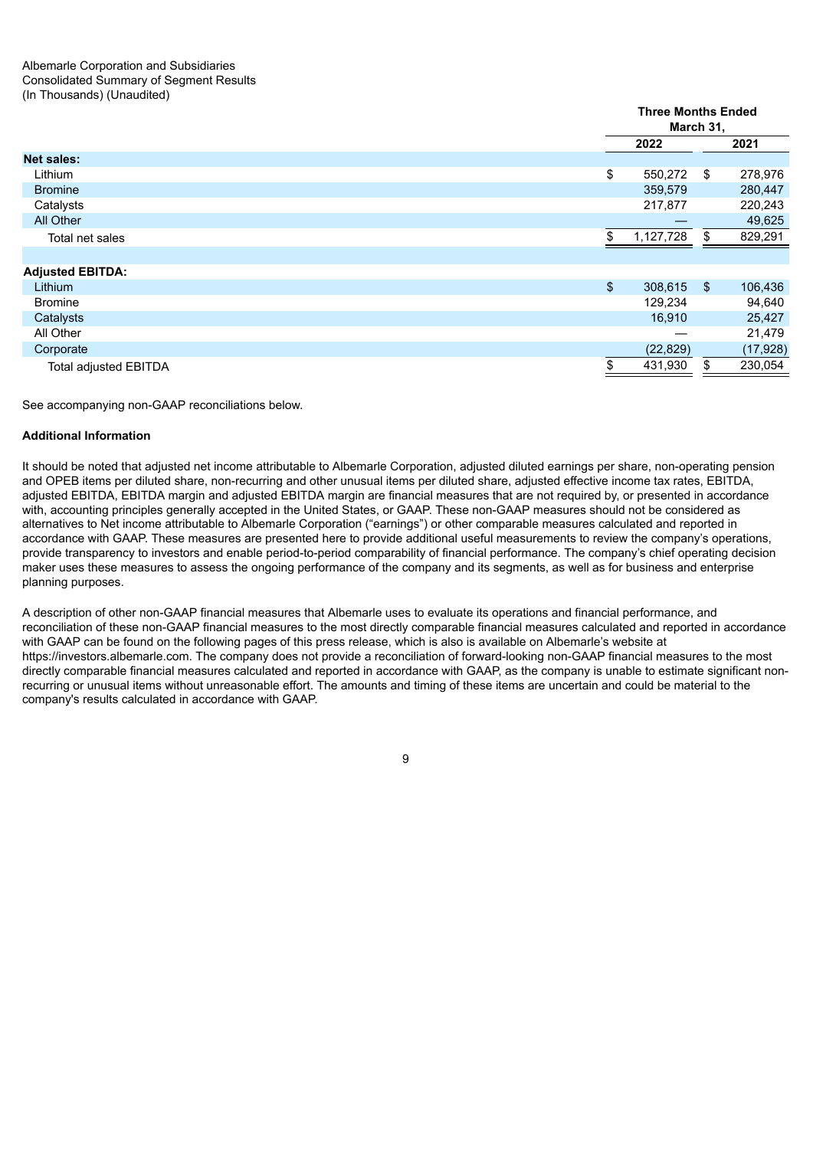|                              |                | <b>Three Months Ended</b><br>March 31, |      |           |  |  |  |  |
|------------------------------|----------------|----------------------------------------|------|-----------|--|--|--|--|
|                              |                | 2022                                   |      | 2021      |  |  |  |  |
| <b>Net sales:</b>            |                |                                        |      |           |  |  |  |  |
| Lithium                      | \$             | 550,272                                | - \$ | 278,976   |  |  |  |  |
| <b>Bromine</b>               |                | 359,579                                |      | 280,447   |  |  |  |  |
| Catalysts                    |                | 217,877                                |      | 220,243   |  |  |  |  |
| All Other                    |                |                                        |      | 49,625    |  |  |  |  |
| Total net sales              | \$.            | 1,127,728                              | S.   | 829,291   |  |  |  |  |
|                              |                |                                        |      |           |  |  |  |  |
| <b>Adjusted EBITDA:</b>      |                |                                        |      |           |  |  |  |  |
| Lithium                      | $\mathfrak{S}$ | 308,615                                | - \$ | 106,436   |  |  |  |  |
| <b>Bromine</b>               |                | 129,234                                |      | 94,640    |  |  |  |  |
| Catalysts                    |                | 16,910                                 |      | 25,427    |  |  |  |  |
| All Other                    |                |                                        |      | 21,479    |  |  |  |  |
| Corporate                    |                | (22, 829)                              |      | (17, 928) |  |  |  |  |
| <b>Total adjusted EBITDA</b> |                | 431,930                                | \$   | 230,054   |  |  |  |  |
|                              |                |                                        |      |           |  |  |  |  |

See accompanying non-GAAP reconciliations below.

#### **Additional Information**

It should be noted that adjusted net income attributable to Albemarle Corporation, adjusted diluted earnings per share, non-operating pension and OPEB items per diluted share, non-recurring and other unusual items per diluted share, adjusted effective income tax rates, EBITDA, adjusted EBITDA, EBITDA margin and adjusted EBITDA margin are financial measures that are not required by, or presented in accordance with, accounting principles generally accepted in the United States, or GAAP. These non-GAAP measures should not be considered as alternatives to Net income attributable to Albemarle Corporation ("earnings") or other comparable measures calculated and reported in accordance with GAAP. These measures are presented here to provide additional useful measurements to review the company's operations, provide transparency to investors and enable period-to-period comparability of financial performance. The company's chief operating decision maker uses these measures to assess the ongoing performance of the company and its segments, as well as for business and enterprise planning purposes.

A description of other non-GAAP financial measures that Albemarle uses to evaluate its operations and financial performance, and reconciliation of these non-GAAP financial measures to the most directly comparable financial measures calculated and reported in accordance with GAAP can be found on the following pages of this press release, which is also is available on Albemarle's website at https://investors.albemarle.com. The company does not provide a reconciliation of forward-looking non-GAAP financial measures to the most directly comparable financial measures calculated and reported in accordance with GAAP, as the company is unable to estimate significant nonrecurring or unusual items without unreasonable effort. The amounts and timing of these items are uncertain and could be material to the company's results calculated in accordance with GAAP.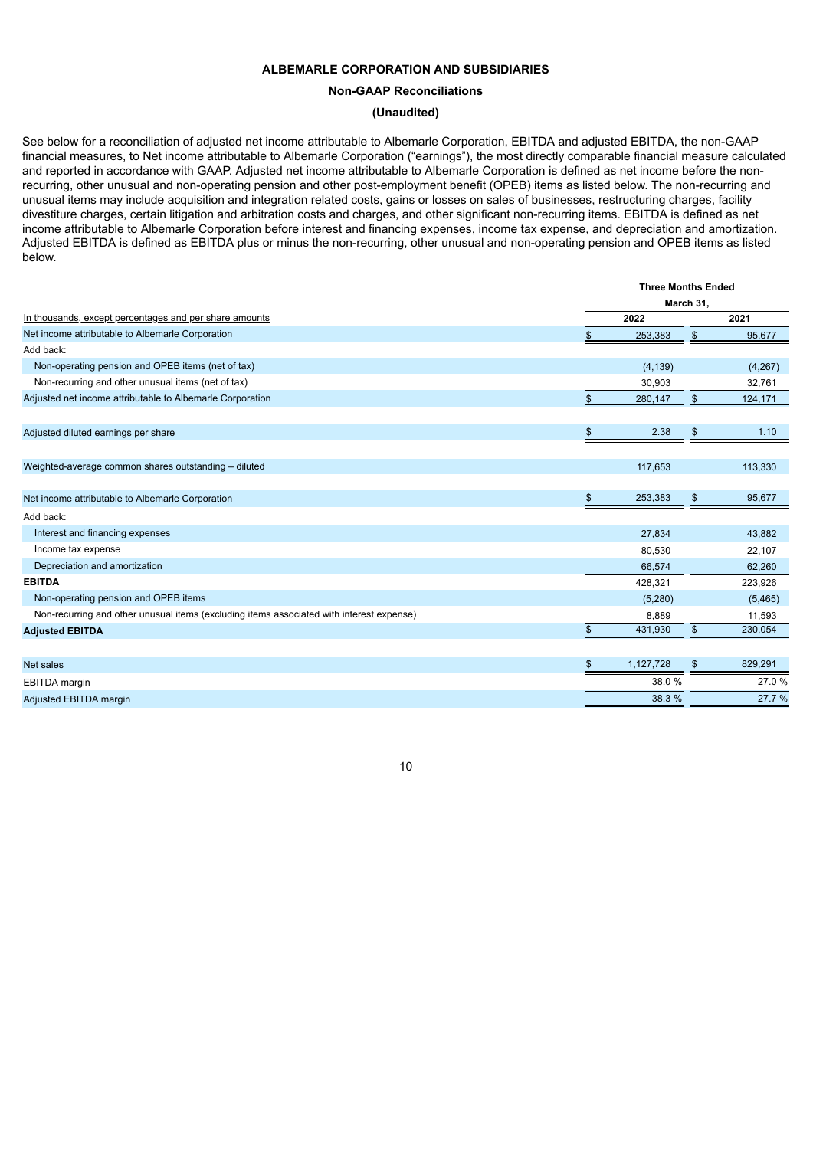#### **ALBEMARLE CORPORATION AND SUBSIDIARIES**

**Non-GAAP Reconciliations**

#### **(Unaudited)**

See below for a reconciliation of adjusted net income attributable to Albemarle Corporation, EBITDA and adjusted EBITDA, the non-GAAP financial measures, to Net income attributable to Albemarle Corporation ("earnings"), the most directly comparable financial measure calculated and reported in accordance with GAAP. Adjusted net income attributable to Albemarle Corporation is defined as net income before the nonrecurring, other unusual and non-operating pension and other post-employment benefit (OPEB) items as listed below. The non-recurring and unusual items may include acquisition and integration related costs, gains or losses on sales of businesses, restructuring charges, facility divestiture charges, certain litigation and arbitration costs and charges, and other significant non-recurring items. EBITDA is defined as net income attributable to Albemarle Corporation before interest and financing expenses, income tax expense, and depreciation and amortization. Adjusted EBITDA is defined as EBITDA plus or minus the non-recurring, other unusual and non-operating pension and OPEB items as listed below.

| <b>Three Months Ended</b> |           |               |           |  |  |
|---------------------------|-----------|---------------|-----------|--|--|
|                           |           |               |           |  |  |
| 2022                      |           |               | 2021      |  |  |
|                           | 253,383   | \$            | 95,677    |  |  |
|                           |           |               |           |  |  |
|                           | (4, 139)  |               | (4,267)   |  |  |
|                           | 30,903    |               | 32,761    |  |  |
| \$                        | 280,147   | $\frac{1}{2}$ | 124,171   |  |  |
|                           |           |               |           |  |  |
| \$                        | 2.38      | \$            | 1.10      |  |  |
|                           |           |               |           |  |  |
|                           | 117,653   |               | 113,330   |  |  |
|                           |           |               |           |  |  |
| \$                        | 253,383   | \$            | 95,677    |  |  |
|                           |           |               |           |  |  |
|                           | 27,834    |               | 43,882    |  |  |
|                           | 80,530    |               | 22,107    |  |  |
|                           | 66,574    |               | 62,260    |  |  |
|                           | 428,321   |               | 223,926   |  |  |
|                           | (5,280)   |               | (5, 465)  |  |  |
|                           | 8,889     |               | 11,593    |  |  |
|                           | 431,930   | \$            | 230,054   |  |  |
|                           |           |               |           |  |  |
|                           | 1,127,728 | \$            | 829,291   |  |  |
|                           | 38.0%     |               | 27.0%     |  |  |
|                           | 38.3 %    |               | 27.7 %    |  |  |
|                           |           |               | March 31, |  |  |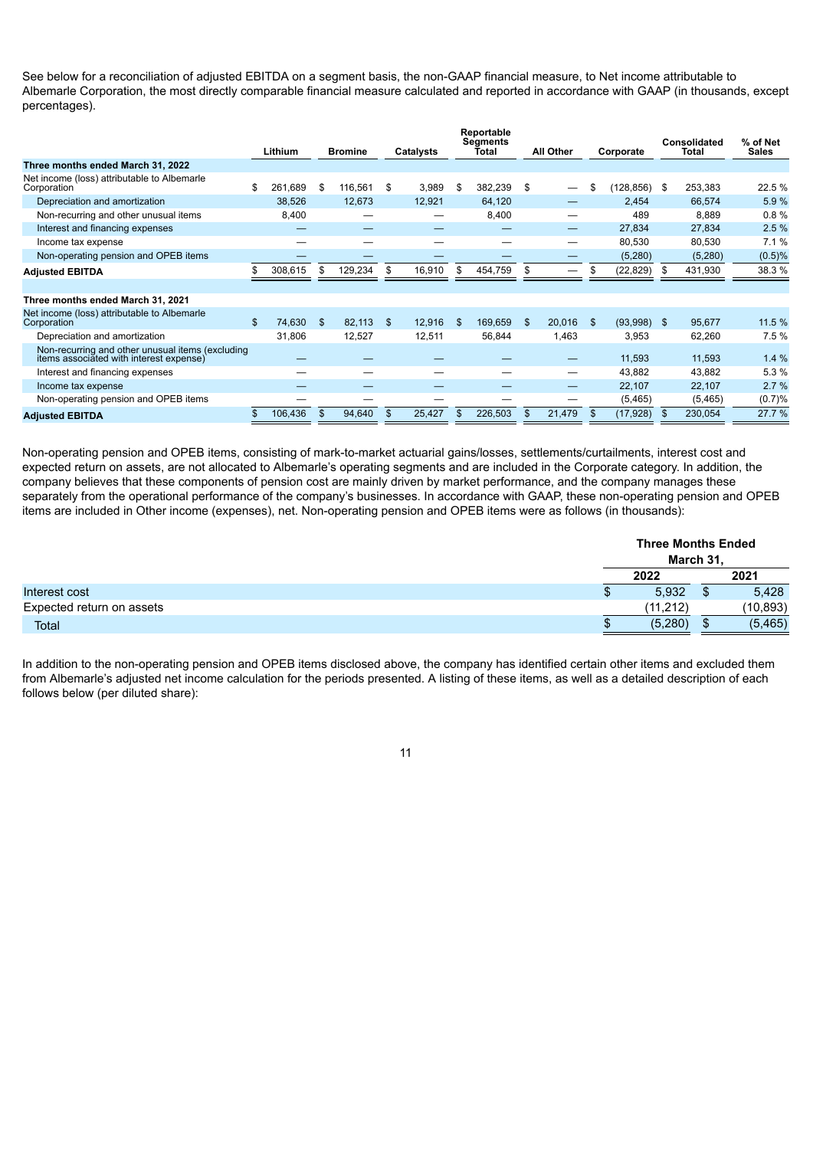See below for a reconciliation of adjusted EBITDA on a segment basis, the non-GAAP financial measure, to Net income attributable to Albemarle Corporation, the most directly comparable financial measure calculated and reported in accordance with GAAP (in thousands, except percentages).

|                                                                                             | Lithium       |    | <b>Bromine</b> |      | Catalysts |     | Reportable<br><b>Segments</b><br>Īotal | <b>All Other</b>               | Corporate    |            | Consolidated<br>Total |         | % of Net<br><b>Sales</b> |
|---------------------------------------------------------------------------------------------|---------------|----|----------------|------|-----------|-----|----------------------------------------|--------------------------------|--------------|------------|-----------------------|---------|--------------------------|
| Three months ended March 31, 2022                                                           |               |    |                |      |           |     |                                        |                                |              |            |                       |         |                          |
| Net income (loss) attributable to Albemarle<br>Corporation                                  | \$<br>261,689 | \$ | 116,561        | - \$ | 3,989     | \$  | 382,239                                | \$<br>$\overline{\phantom{0}}$ | \$           | (128, 856) | - \$                  | 253,383 | 22.5 %                   |
| Depreciation and amortization                                                               | 38,526        |    | 12,673         |      | 12,921    |     | 64,120                                 | —                              |              | 2,454      |                       | 66,574  | 5.9%                     |
| Non-recurring and other unusual items                                                       | 8,400         |    |                |      | –         |     | 8,400                                  |                                |              | 489        |                       | 8,889   | 0.8%                     |
| Interest and financing expenses                                                             |               |    |                |      |           |     |                                        | —                              |              | 27,834     |                       | 27,834  | 2.5%                     |
| Income tax expense                                                                          |               |    |                |      |           |     |                                        | —                              |              | 80,530     |                       | 80,530  | 7.1%                     |
| Non-operating pension and OPEB items                                                        |               |    |                |      |           |     |                                        | _                              |              | (5,280)    |                       | (5,280) | (0.5)%                   |
| <b>Adjusted EBITDA</b>                                                                      | 308,615       | S  | 129,234        | \$.  | 16,910    | \$  | 454,759                                | \$                             | \$           | (22, 829)  | S                     | 431,930 | 38.3 %                   |
|                                                                                             |               |    |                |      |           |     |                                        |                                |              |            |                       |         |                          |
| Three months ended March 31, 2021                                                           |               |    |                |      |           |     |                                        |                                |              |            |                       |         |                          |
| Net income (loss) attributable to Albemarle<br>Corporation                                  | \$<br>74,630  | \$ | 82,113         | - S  | 12,916    | \$. | 169,659                                | \$<br>20,016                   | $\mathbf{s}$ | (93,998)   | -S                    | 95,677  | 11.5 %                   |
| Depreciation and amortization                                                               | 31,806        |    | 12,527         |      | 12,511    |     | 56,844                                 | 1,463                          |              | 3,953      |                       | 62,260  | 7.5%                     |
| Non-recurring and other unusual items (excluding<br>items associated with interest expense) |               |    |                |      |           |     |                                        |                                |              | 11,593     |                       | 11,593  | 1.4%                     |
| Interest and financing expenses                                                             |               |    |                |      |           |     |                                        | –                              |              | 43,882     |                       | 43,882  | 5.3 %                    |
| Income tax expense                                                                          |               |    |                |      |           |     |                                        | —                              |              | 22,107     |                       | 22,107  | 2.7%                     |
| Non-operating pension and OPEB items                                                        |               |    |                |      |           |     |                                        |                                |              | (5, 465)   |                       | (5,465) | (0.7)%                   |
| <b>Adjusted EBITDA</b>                                                                      | 106,436       | \$ | 94,640         | \$   | 25,427    |     | 226,503                                | \$<br>21,479                   | $\mathbf{s}$ | (17, 928)  |                       | 230,054 | 27.7 %                   |

Non-operating pension and OPEB items, consisting of mark-to-market actuarial gains/losses, settlements/curtailments, interest cost and expected return on assets, are not allocated to Albemarle's operating segments and are included in the Corporate category. In addition, the company believes that these components of pension cost are mainly driven by market performance, and the company manages these separately from the operational performance of the company's businesses. In accordance with GAAP, these non-operating pension and OPEB items are included in Other income (expenses), net. Non-operating pension and OPEB items were as follows (in thousands):

|                           | <b>Three Months Ended</b><br>March 31. |     |           |  |  |
|---------------------------|----------------------------------------|-----|-----------|--|--|
|                           | 2022                                   |     | 2021      |  |  |
| Interest cost             | 5,932                                  |     | 5,428     |  |  |
| Expected return on assets | (11, 212)                              |     | (10, 893) |  |  |
| <b>Total</b>              | (5,280)                                | \$. | (5, 465)  |  |  |

In addition to the non-operating pension and OPEB items disclosed above, the company has identified certain other items and excluded them from Albemarle's adjusted net income calculation for the periods presented. A listing of these items, as well as a detailed description of each follows below (per diluted share):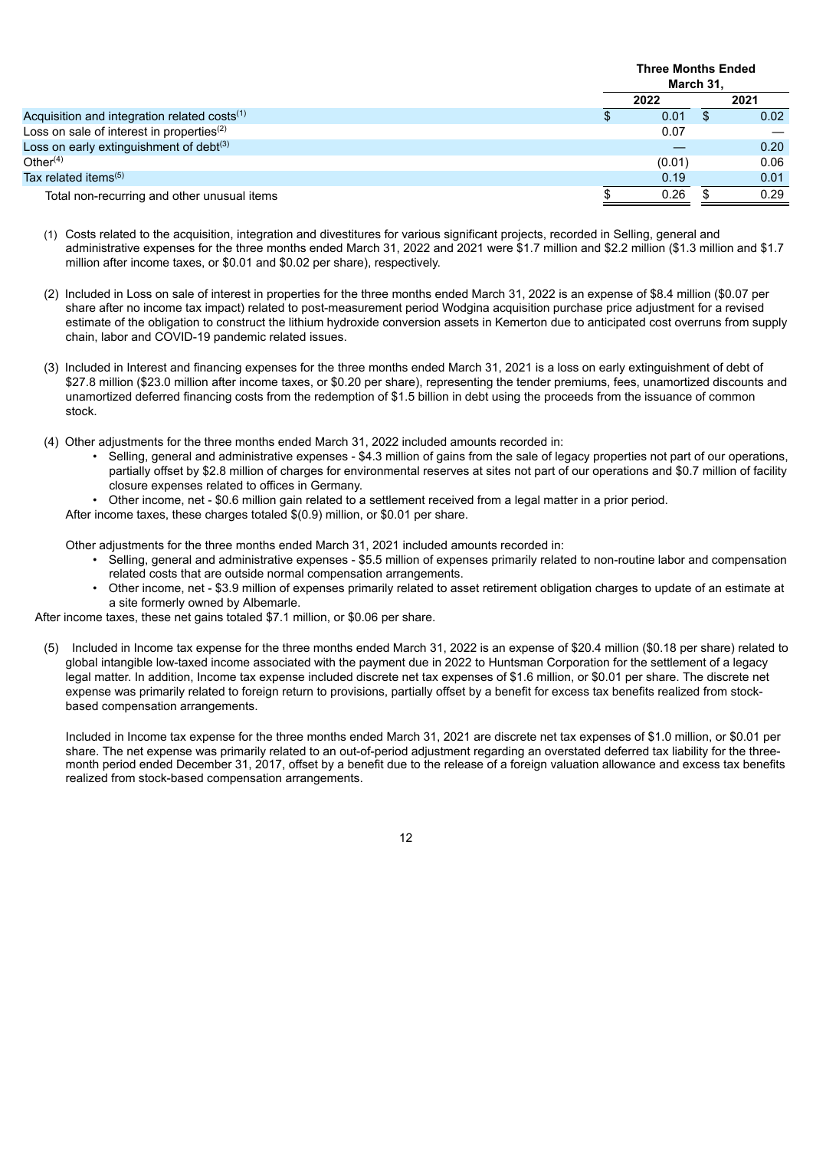|                                                          | <b>Three Months Ended</b><br>March 31, |  |      |
|----------------------------------------------------------|----------------------------------------|--|------|
|                                                          | 2022                                   |  | 2021 |
| Acquisition and integration related costs <sup>(1)</sup> | 0.01                                   |  | 0.02 |
| Loss on sale of interest in properties <sup>(2)</sup>    | 0.07                                   |  |      |
| Loss on early extinguishment of debt <sup>(3)</sup>      |                                        |  | 0.20 |
| Other $(4)$                                              | (0.01)                                 |  | 0.06 |
| Tax related items $(5)$                                  | 0.19                                   |  | 0.01 |
| Total non-recurring and other unusual items              | 0.26                                   |  | 0.29 |

- (1) Costs related to the acquisition, integration and divestitures for various significant projects, recorded in Selling, general and administrative expenses for the three months ended March 31, 2022 and 2021 were \$1.7 million and \$2.2 million (\$1.3 million and \$1.7 million after income taxes, or \$0.01 and \$0.02 per share), respectively.
- (2) Included in Loss on sale of interest in properties for the three months ended March 31, 2022 is an expense of \$8.4 million (\$0.07 per share after no income tax impact) related to post-measurement period Wodgina acquisition purchase price adjustment for a revised estimate of the obligation to construct the lithium hydroxide conversion assets in Kemerton due to anticipated cost overruns from supply chain, labor and COVID-19 pandemic related issues.
- (3) Included in Interest and financing expenses for the three months ended March 31, 2021 is a loss on early extinguishment of debt of \$27.8 million (\$23.0 million after income taxes, or \$0.20 per share), representing the tender premiums, fees, unamortized discounts and unamortized deferred financing costs from the redemption of \$1.5 billion in debt using the proceeds from the issuance of common stock.
- (4) Other adjustments for the three months ended March 31, 2022 included amounts recorded in:
	- Selling, general and administrative expenses \$4.3 million of gains from the sale of legacy properties not part of our operations, partially offset by \$2.8 million of charges for environmental reserves at sites not part of our operations and \$0.7 million of facility closure expenses related to offices in Germany.
	- Other income, net \$0.6 million gain related to a settlement received from a legal matter in a prior period.
	- After income taxes, these charges totaled \$(0.9) million, or \$0.01 per share.

Other adjustments for the three months ended March 31, 2021 included amounts recorded in:

- Selling, general and administrative expenses \$5.5 million of expenses primarily related to non-routine labor and compensation related costs that are outside normal compensation arrangements.
- Other income, net \$3.9 million of expenses primarily related to asset retirement obligation charges to update of an estimate at a site formerly owned by Albemarle.

After income taxes, these net gains totaled \$7.1 million, or \$0.06 per share.

(5) Included in Income tax expense for the three months ended March 31, 2022 is an expense of \$20.4 million (\$0.18 per share) related to global intangible low-taxed income associated with the payment due in 2022 to Huntsman Corporation for the settlement of a legacy legal matter. In addition, Income tax expense included discrete net tax expenses of \$1.6 million, or \$0.01 per share. The discrete net expense was primarily related to foreign return to provisions, partially offset by a benefit for excess tax benefits realized from stockbased compensation arrangements.

Included in Income tax expense for the three months ended March 31, 2021 are discrete net tax expenses of \$1.0 million, or \$0.01 per share. The net expense was primarily related to an out-of-period adjustment regarding an overstated deferred tax liability for the threemonth period ended December 31, 2017, offset by a benefit due to the release of a foreign valuation allowance and excess tax benefits realized from stock-based compensation arrangements.